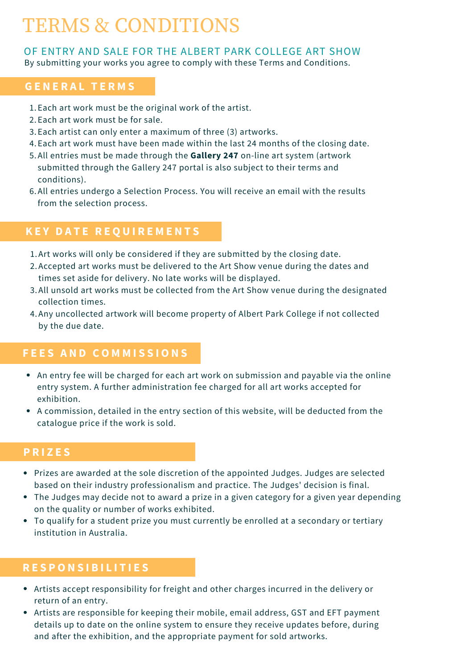# TERMS & CONDITIONS

## OF ENTRY AND SALE FOR THE ALBERT PARK COLLEGE ART SHOW

By submitting your works you agree to comply with these Terms and Conditions.

#### **G E N E R A L T E R M S**

- Each art work must be the original work of the artist. 1.
- 2. Each art work must be for sale.
- Each artist can only enter a maximum of three (3) artworks. 3.
- Each art work must have been made within the last 24 months of the closing date. 4.
- 5.All entries must be made through the [Gallery](https://www.gallery247.com.au/) 247 on-line art system (artwork submitted through the Gallery 247 portal is also subject to their terms and conditions).
- 6. All entries undergo a [Selection](https://bendigoartshow.com.au/pre-selection-and-judging) Process. You will receive an email with the results from the selection process.

### **K E Y D A T E R E Q U I R E M E N T S**

- 1. Art works will only be considered if they are submitted by the closing date.
- Accepted art works must be delivered to the Art Show venue during the dates and 2. times set aside for delivery. No late works will be displayed.
- All unsold art works must be collected from the Art Show venue during the designated 3. collection times.
- Any uncollected artwork will become property of Albert Park College if not collected 4. by the due date.

#### **F E E S A N D C O M M I S S I O N S**

- An entry fee will be charged for each art work on submission and payable via the online entry system. A further administration fee charged for all art works accepted for exhibition.
- A commission, detailed in the entry section of this website, will be deducted from the catalogue price if the work is sold.

#### **P R I Z E S**

- Prizes are awarded at the sole discretion of the appointed Judges. Judges are selected based on their industry professionalism and practice. The Judges' decision is final.
- The Judges may decide not to award a prize in a given category for a given year depending on the quality or number of works exhibited.
- To qualify for a student prize you must currently be enrolled at a secondary or tertiary institution in Australia.

#### **R E S P O N S I B I L I T I E S**

- Artists accept responsibility for freight and other charges incurred in the delivery or return of an entry.
- Artists are responsible for keeping their mobile, email address, GST and EFT payment details up to date on the online system to ensure they receive updates before, during and after the exhibition, and the appropriate payment for sold artworks.